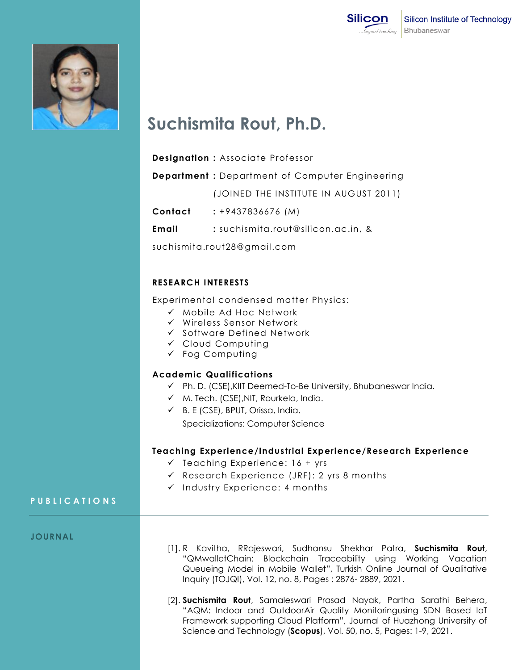



# **Suchismita Rout, Ph.D.**

# **Designation :** Associate Professor

**Department :** Department of Computer Engineering

(JOINED THE INSTITUTE IN AUGUST 2011)

**Contact :** +9437836676 (M)

**Email :** suchismita.rout@silicon.ac.in, &

suchismita.rout28@gmail.com

# **RESEARCH INTERESTS**

Experimental condensed matter Physics:

- $\times$  Mobile Ad Hoc Network
- Wireless Sensor Network
- $\checkmark$  Software Defined Network
- Cloud Computing
- $\checkmark$  Fog Computing

## **Academic Qualifications**

- $\checkmark$  Ph. D. (CSE), KIIT Deemed-To-Be University, Bhubaneswar India.
- $\checkmark$  M. Tech. (CSE), NIT, Rourkela, India.
- $\checkmark$  B. E (CSE), BPUT, Orissa, India.

Specializations: Computer Science

## **Teaching Experience/Industrial Experience/Research Experience**

- $\checkmark$  Teaching Experience: 16 + yrs
- $\checkmark$  Research Experience (JRF): 2 yrs 8 months
- $\checkmark$  Industry Experience: 4 months

## **P U B L I C A T I O N S**

#### **JOURNAL**

- [1]. R Kavitha, RRajeswari, Sudhansu Shekhar Patra, **Suchismita Rout**, "QMwalletChain: Blockchain Traceability using Working Vacation Queueing Model in Mobile Wallet", Turkish Online Journal of Qualitative Inquiry (TOJQI), Vol. 12, no. 8, Pages : 2876- 2889, 2021.
- [2]. **Suchismita Rout**, Samaleswari Prasad Nayak, Partha Sarathi Behera, "AQM: Indoor and OutdoorAir Quality Monitoringusing SDN Based IoT Framework supporting Cloud Platform", Journal of Huazhong University of Science and Technology (**Scopus**), Vol. 50, no. 5, Pages: 1-9, 2021.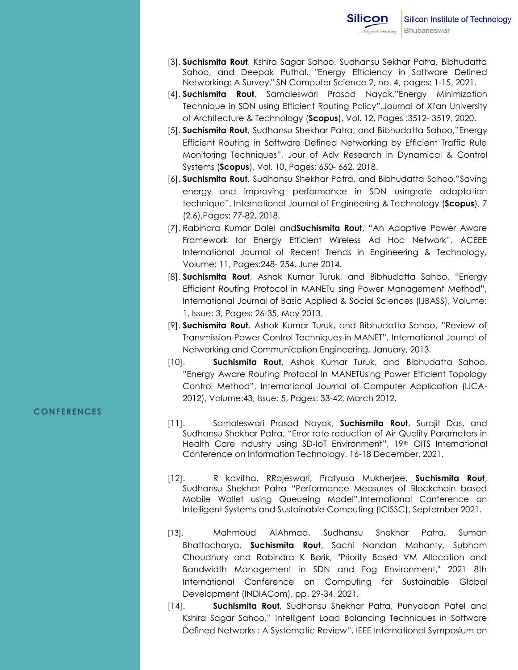- [3]. **Suchismita Rout**, Kshira Sagar Sahoo, Sudhansu Sekhar Patra, Bibhudatta Sahoo, and Deepak Puthal. "Energy Efficiency in Software Defined Networking: A Survey." SN Computer Science 2, no. 4, pages: 1-15, 2021.
- [4]. **Suchismita Rout**, Samaleswari Prasad Nayak,"Energy Minimization Technique in SDN using Efficient Routing Policy",Journal of Xi'an University of Architecture & Technology (**Scopus**), Vol. 12, Pages :3512- 3519, 2020.
- [5]. **Suchismita Rout**, Sudhansu Shekhar Patra, and Bibhudatta Sahoo,"Energy Efficient Routing in Software Defined Networking by Efficient Traffic Rule Monitoring Techniques", Jour of Adv Research in Dynamical & Control Systems (**Scopus**), Vol. 10, Pages: 650- 662, 2018.
- [6]. **Suchismita Rout**, Sudhansu Shekhar Patra, and Bibhudatta Sahoo,"Saving energy and improving performance in SDN usingrate adaptation technique", International Journal of Engineering & Technology (**Scopus**), 7 (2.6),Pages: 77-82, 2018.
- [7]. Rabindra Kumar Dalei and**Suchismita Rout**, "An Adaptive Power Aware Framework for Energy Efficient Wireless Ad Hoc Network", ACEEE International Journal of Recent Trends in Engineering & Technology, Volume: 11, Pages:248- 254, June 2014.
- [8]. **Suchismita Rout**, Ashok Kumar Turuk, and Bibhudatta Sahoo, "Energy Efficient Routing Protocol in MANETu sing Power Management Method", International Journal of Basic Applied & Social Sciences (IJBASS), Volume: 1, Issue: 3, Pages: 26-35, May 2013.
- [9]. **Suchismita Rout**, Ashok Kumar Turuk, and Bibhudatta Sahoo, "Review of Transmission Power Control Techniques in MANET", International Journal of Networking and Communication Engineering, January, 2013.
- [10]. **Suchismita Rout**, Ashok Kumar Turuk, and Bibhudatta Sahoo, "Energy Aware Routing Protocol in MANETUsing Power Efficient Topology Control Method", International Journal of Computer Application (IJCA-2012), Volume:43, Issue: 5, Pages: 33-42, March 2012.

# **CONFERENCES**

- [11]. Samaleswari Prasad Nayak, **Suchismita Rout**, Surajit Das, and Sudhansu Shekhar Patra, "Error rate reduction of Air Quality Parameters in Health Care Industry using SD-IoT Environment", 19th OITS International Conference on Information Technology, 16-18 December, 2021.
- [12]. R kavitha, RRajeswari, Pratyusa Mukherjee, **Suchismita Rout**, Sudhansu Shekhar Patra "Performance Measures of Blockchain based Mobile Wallet using Queueing Model",International Conference on Intelligent Systems and Sustainable Computing (ICISSC), September 2021.
- [13]. Mahmoud AlAhmad, Sudhansu Shekhar Patra, Suman Bhattacharya, **Suchismita Rout**, Sachi Nandan Mohanty, Subham Choudhury and Rabindra K Barik, "Priority Based VM Allocation and Bandwidth Management in SDN and Fog Environment," 2021 8th International Conference on Computing for Sustainable Global Development (INDIACom), pp. 29-34, 2021.
- [14]. **Suchismita Rout**, Sudhansu Shekhar Patra, Punyaban Patel and Kshira Sagar Sahoo," Intelligent Load Balancing Techniques in Software Defined Networks : A Systematic Review", IEEE International Symposium on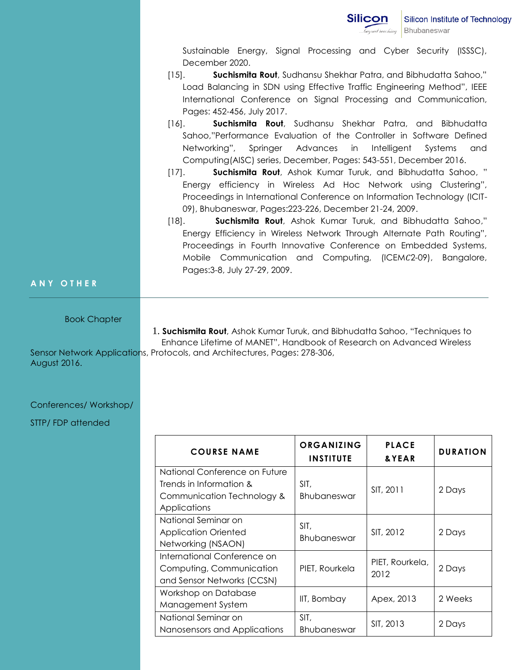Sustainable Energy, Signal Processing and Cyber Security (ISSSC), December 2020.

- [15]. **Suchismita Rout**, Sudhansu Shekhar Patra, and Bibhudatta Sahoo," Load Balancing in SDN using Effective Traffic Engineering Method", IEEE International Conference on Signal Processing and Communication, Pages: 452-456, July 2017.
- [16]. **Suchismita Rout**, Sudhansu Shekhar Patra, and Bibhudatta Sahoo,"Performance Evaluation of the Controller in Software Defined Networking", Springer Advances in Intelligent Systems and Computing(AISC) series, December, Pages: 543-551, December 2016.
- [17]. **Suchismita Rout**, Ashok Kumar Turuk, and Bibhudatta Sahoo, " Energy efficiency in Wireless Ad Hoc Network using Clustering", Proceedings in International Conference on Information Technology (ICIT-09), Bhubaneswar, Pages:223-226, December 21-24, 2009.
- [18]. **Suchismita Rout**, Ashok Kumar Turuk, and Bibhudatta Sahoo," Energy Efficiency in Wireless Network Through Alternate Path Routing", Proceedings in Fourth Innovative Conference on Embedded Systems, Mobile Communication and Computing, (ICEM2-09), Bangalore, Pages:3-8, July 27-29, 2009.

# **A N Y O T H E R**

#### Book Chapter

 1. **Suchismita Rout**, Ashok Kumar Turuk, and Bibhudatta Sahoo, "Techniques to Enhance Lifetime of MANET", Handbook of Research on Advanced Wireless Sensor Network Applications, Protocols, and Architectures, Pages: 278-306, August 2016.

## Conferences/ Workshop/

STTP/ FDP attended

| <b>COURSE NAME</b>                                                                     | ORGANIZING<br><b>INSTITUTE</b> | <b>PLACE</b><br><b>&amp;YEAR</b> | <b>DURATION</b> |
|----------------------------------------------------------------------------------------|--------------------------------|----------------------------------|-----------------|
| National Conference on Future<br>Trends in Information &<br>Communication Technology & | SIT,<br>Bhubaneswar            | SIT, 2011                        | 2 Days          |
| Applications                                                                           |                                |                                  |                 |
| National Seminar on<br><b>Application Oriented</b><br>Networking (NSAON)               | SIT,<br>Bhubaneswar            | SIT, 2012                        | 2 Days          |
| International Conference on<br>Computing, Communication<br>and Sensor Networks (CCSN)  | PIET, Rourkela                 | PIET, Rourkela,<br>2012          | 2 Days          |
| Workshop on Database<br>Management System                                              | IIT, Bombay                    | Apex, 2013                       | 2 Weeks         |
| National Seminar on<br>Nanosensors and Applications                                    | SIT,<br>Bhubaneswar            | SIT, 2013                        | 2 Days          |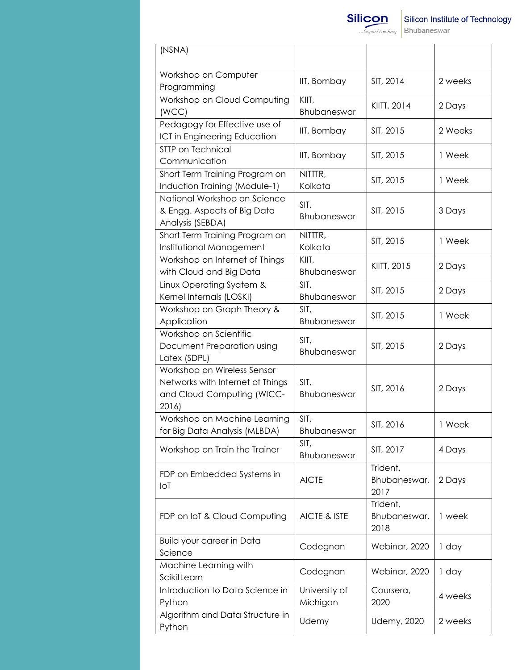

| (NSNA)                                                                                                 |                           |                                  |         |
|--------------------------------------------------------------------------------------------------------|---------------------------|----------------------------------|---------|
|                                                                                                        |                           |                                  |         |
| Workshop on Computer<br>Programming                                                                    | IIT, Bombay               | SIT, 2014                        | 2 weeks |
| Workshop on Cloud Computing                                                                            | KIIT,                     | KIITT, 2014                      | 2 Days  |
| (WCC)                                                                                                  | Bhubaneswar               |                                  |         |
| Pedagogy for Effective use of<br>ICT in Engineering Education                                          | IIT, Bombay               | SIT, 2015                        | 2 Weeks |
| STTP on Technical<br>Communication                                                                     | IIT, Bombay               | SIT, 2015                        | 1 Week  |
| Short Term Training Program on<br>Induction Training (Module-1)                                        | NITTTR,<br>Kolkata        | SIT, 2015                        | 1 Week  |
| National Workshop on Science<br>& Engg. Aspects of Big Data<br>Analysis (SEBDA)                        | SIT,<br>Bhubaneswar       | SIT, 2015                        | 3 Days  |
| Short Term Training Program on<br>Institutional Management                                             | NITTTR,<br>Kolkata        | SIT, 2015                        | 1 Week  |
| Workshop on Internet of Things<br>with Cloud and Big Data                                              | KIIT,<br>Bhubaneswar      | KIITT, 2015                      | 2 Days  |
| Linux Operating Syatem &<br>Kernel Internals (LOSKI)                                                   | SIT,<br>Bhubaneswar       | SIT, 2015                        | 2 Days  |
| Workshop on Graph Theory &<br>Application                                                              | SIT,<br>Bhubaneswar       | SIT, 2015                        | 1 Week  |
| Workshop on Scientific<br>Document Preparation using<br>Latex (SDPL)                                   | SIT,<br>Bhubaneswar       | SIT, 2015                        | 2 Days  |
| Workshop on Wireless Sensor<br>Networks with Internet of Things<br>and Cloud Computing (WICC-<br>2016) | SIT,<br>Bhubaneswar       | SIT, 2016                        | 2 Days  |
| Workshop on Machine Learning<br>for Big Data Analysis (MLBDA)                                          | SIT,<br>Bhubaneswar       | SIT, 2016                        | 1 Week  |
| Workshop on Train the Trainer                                                                          | SIT,<br>Bhubaneswar       | SIT, 2017                        | 4 Days  |
| FDP on Embedded Systems in<br>IoT                                                                      | <b>AICTE</b>              | Trident,<br>Bhubaneswar,<br>2017 | 2 Days  |
| FDP on IoT & Cloud Computing                                                                           | AICTE & ISTE              | Trident,<br>Bhubaneswar,<br>2018 | 1 week  |
| <b>Build your career in Data</b><br>Science                                                            | Codegnan                  | Webinar, 2020                    | 1 day   |
| Machine Learning with<br>ScikitLearn                                                                   | Codegnan                  | Webinar, 2020                    | 1 day   |
| Introduction to Data Science in<br>Python                                                              | University of<br>Michigan | Coursera,<br>2020                | 4 weeks |
| Algorithm and Data Structure in<br>Python                                                              | Udemy                     | <b>Udemy, 2020</b>               | 2 weeks |